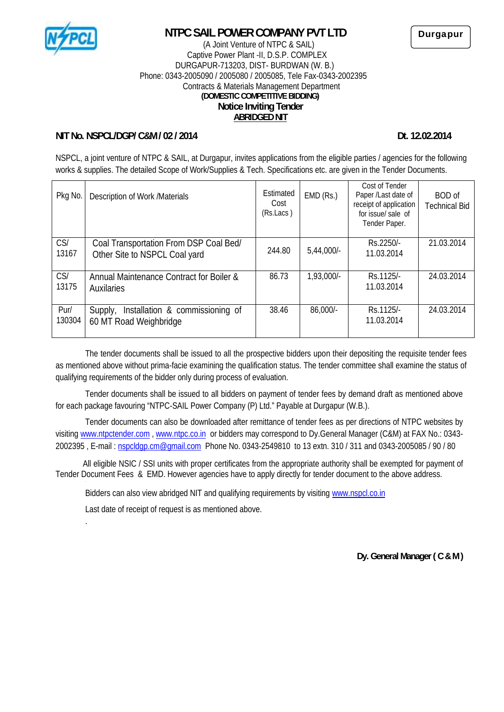

# **NTPC SAIL POWER COMPANY PVT LTD**

#### (A Joint Venture of NTPC & SAIL) Captive Power Plant -II, D.S.P. COMPLEX DURGAPUR-713203, DIST- BURDWAN (W. B.) Phone: 0343-2005090 / 2005080 / 2005085, Tele Fax-0343-2002395 Contracts & Materials Management Department **(DOMESTIC COMPETITIVE BIDDING) Notice Inviting Tender ABRIDGED NIT**

### **NIT No. NSPCL/DGP/ C&M / 02 / 2014 Dt. 12.02.2014**

NSPCL, a joint venture of NTPC & SAIL, at Durgapur, invites applications from the eligible parties / agencies for the following works & supplies. The detailed Scope of Work/Supplies & Tech. Specifications etc. are given in the Tender Documents.

| Pkg No.        | Description of Work /Materials                                          | Estimated<br>Cost<br>(Rs.Lacs) | EMD(Rs.)   | Cost of Tender<br>Paper /Last date of<br>receipt of application<br>for issue sale of<br>Tender Paper. | <b>BOD</b> of<br>Technical Bid |
|----------------|-------------------------------------------------------------------------|--------------------------------|------------|-------------------------------------------------------------------------------------------------------|--------------------------------|
| CS<br>13167    | Coal Transportation From DSP Coal Bed/<br>Other Site to NSPCL Coal yard | 244.80                         | 5,44,000   | Rs.2250/-<br>11.03.2014                                                                               | 21.03.2014                     |
| CS<br>13175    | Annual Maintenance Contract for Boiler &<br><b>Auxilaries</b>           | 86.73                          | 1,93,000/- | Rs. 1125/-<br>11.03.2014                                                                              | 24.03.2014                     |
| Pur/<br>130304 | Installation & commissioning of<br>Supply,<br>60 MT Road Weighbridge    | 38.46                          | 86,000/-   | Rs.1125/-<br>11.03.2014                                                                               | 24.03.2014                     |

The tender documents shall be issued to all the prospective bidders upon their depositing the requisite tender fees as mentioned above without prima-facie examining the qualification status. The tender committee shall examine the status of qualifying requirements of the bidder only during process of evaluation.

Tender documents shall be issued to all bidders on payment of tender fees by demand draft as mentioned above for each package favouring "NTPC-SAIL Power Company (P) Ltd." Payable at Durgapur (W.B.).

Tender documents can also be downloaded after remittance of tender fees as per directions of NTPC websites by visiting www.ntpctender.com , www.ntpc.co.in or bidders may correspond to Dy.General Manager (C&M) at FAX No.: 0343- 2002395 , E-mail : nspcldgp.cm@gmail.com Phone No. 0343-2549810 to 13 extn. 310 / 311 and 0343-2005085 / 90 / 80

All eligible NSIC / SSI units with proper certificates from the appropriate authority shall be exempted for payment of Tender Document Fees & EMD. However agencies have to apply directly for tender document to the above address.

Bidders can also view abridged NIT and qualifying requirements by visiting www.nspcl.co.in

Last date of receipt of request is as mentioned above.

.

**Dy. General Manager ( C & M )**